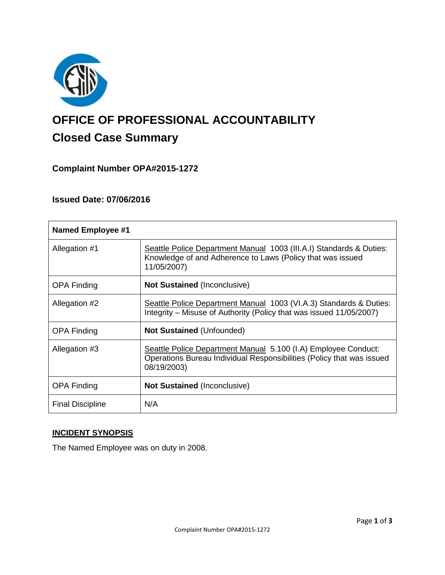

# **OFFICE OF PROFESSIONAL ACCOUNTABILITY Closed Case Summary**

# **Complaint Number OPA#2015-1272**

#### **Issued Date: 07/06/2016**

| <b>Named Employee #1</b> |                                                                                                                                                        |
|--------------------------|--------------------------------------------------------------------------------------------------------------------------------------------------------|
| Allegation #1            | Seattle Police Department Manual 1003 (III.A.I) Standards & Duties:<br>Knowledge of and Adherence to Laws (Policy that was issued<br>11/05/2007)       |
| <b>OPA Finding</b>       | <b>Not Sustained (Inconclusive)</b>                                                                                                                    |
| Allegation #2            | Seattle Police Department Manual 1003 (VI.A.3) Standards & Duties:<br>Integrity – Misuse of Authority (Policy that was issued 11/05/2007)              |
| <b>OPA Finding</b>       | <b>Not Sustained (Unfounded)</b>                                                                                                                       |
| Allegation #3            | Seattle Police Department Manual 5.100 (I.A) Employee Conduct:<br>Operations Bureau Individual Responsibilities (Policy that was issued<br>08/19/2003) |
| <b>OPA Finding</b>       | <b>Not Sustained (Inconclusive)</b>                                                                                                                    |
| <b>Final Discipline</b>  | N/A                                                                                                                                                    |

## **INCIDENT SYNOPSIS**

The Named Employee was on duty in 2008.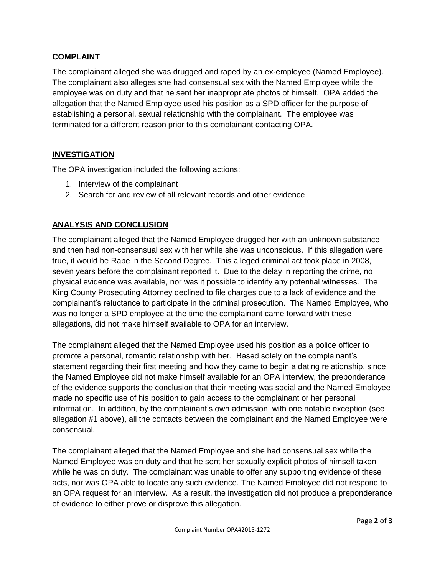### **COMPLAINT**

The complainant alleged she was drugged and raped by an ex-employee (Named Employee). The complainant also alleges she had consensual sex with the Named Employee while the employee was on duty and that he sent her inappropriate photos of himself. OPA added the allegation that the Named Employee used his position as a SPD officer for the purpose of establishing a personal, sexual relationship with the complainant. The employee was terminated for a different reason prior to this complainant contacting OPA.

#### **INVESTIGATION**

The OPA investigation included the following actions:

- 1. Interview of the complainant
- 2. Search for and review of all relevant records and other evidence

# **ANALYSIS AND CONCLUSION**

The complainant alleged that the Named Employee drugged her with an unknown substance and then had non-consensual sex with her while she was unconscious. If this allegation were true, it would be Rape in the Second Degree. This alleged criminal act took place in 2008, seven years before the complainant reported it. Due to the delay in reporting the crime, no physical evidence was available, nor was it possible to identify any potential witnesses. The King County Prosecuting Attorney declined to file charges due to a lack of evidence and the complainant's reluctance to participate in the criminal prosecution. The Named Employee, who was no longer a SPD employee at the time the complainant came forward with these allegations, did not make himself available to OPA for an interview.

The complainant alleged that the Named Employee used his position as a police officer to promote a personal, romantic relationship with her. Based solely on the complainant's statement regarding their first meeting and how they came to begin a dating relationship, since the Named Employee did not make himself available for an OPA interview, the preponderance of the evidence supports the conclusion that their meeting was social and the Named Employee made no specific use of his position to gain access to the complainant or her personal information. In addition, by the complainant's own admission, with one notable exception (see allegation #1 above), all the contacts between the complainant and the Named Employee were consensual.

The complainant alleged that the Named Employee and she had consensual sex while the Named Employee was on duty and that he sent her sexually explicit photos of himself taken while he was on duty. The complainant was unable to offer any supporting evidence of these acts, nor was OPA able to locate any such evidence. The Named Employee did not respond to an OPA request for an interview. As a result, the investigation did not produce a preponderance of evidence to either prove or disprove this allegation.